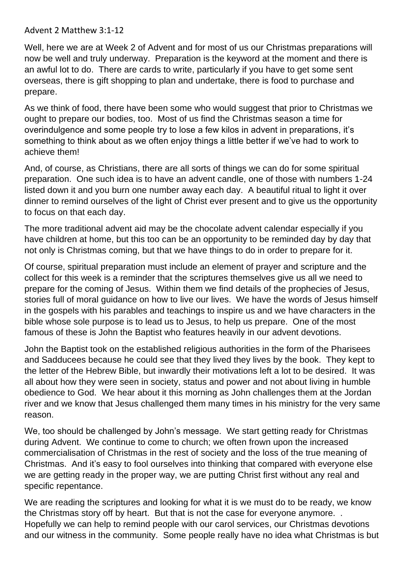Advent 2 Matthew 3:1-12

Well, here we are at Week 2 of Advent and for most of us our Christmas preparations will now be well and truly underway. Preparation is the keyword at the moment and there is an awful lot to do. There are cards to write, particularly if you have to get some sent overseas, there is gift shopping to plan and undertake, there is food to purchase and prepare.

As we think of food, there have been some who would suggest that prior to Christmas we ought to prepare our bodies, too. Most of us find the Christmas season a time for overindulgence and some people try to lose a few kilos in advent in preparations, it's something to think about as we often enjoy things a little better if we've had to work to achieve them!

And, of course, as Christians, there are all sorts of things we can do for some spiritual preparation. One such idea is to have an advent candle, one of those with numbers 1-24 listed down it and you burn one number away each day. A beautiful ritual to light it over dinner to remind ourselves of the light of Christ ever present and to give us the opportunity to focus on that each day.

The more traditional advent aid may be the chocolate advent calendar especially if you have children at home, but this too can be an opportunity to be reminded day by day that not only is Christmas coming, but that we have things to do in order to prepare for it.

Of course, spiritual preparation must include an element of prayer and scripture and the collect for this week is a reminder that the scriptures themselves give us all we need to prepare for the coming of Jesus. Within them we find details of the prophecies of Jesus, stories full of moral guidance on how to live our lives. We have the words of Jesus himself in the gospels with his parables and teachings to inspire us and we have characters in the bible whose sole purpose is to lead us to Jesus, to help us prepare. One of the most famous of these is John the Baptist who features heavily in our advent devotions.

John the Baptist took on the established religious authorities in the form of the Pharisees and Sadducees because he could see that they lived they lives by the book. They kept to the letter of the Hebrew Bible, but inwardly their motivations left a lot to be desired. It was all about how they were seen in society, status and power and not about living in humble obedience to God. We hear about it this morning as John challenges them at the Jordan river and we know that Jesus challenged them many times in his ministry for the very same reason.

We, too should be challenged by John's message. We start getting ready for Christmas during Advent. We continue to come to church; we often frown upon the increased commercialisation of Christmas in the rest of society and the loss of the true meaning of Christmas. And it's easy to fool ourselves into thinking that compared with everyone else we are getting ready in the proper way, we are putting Christ first without any real and specific repentance.

We are reading the scriptures and looking for what it is we must do to be ready, we know the Christmas story off by heart. But that is not the case for everyone anymore. . Hopefully we can help to remind people with our carol services, our Christmas devotions and our witness in the community. Some people really have no idea what Christmas is but